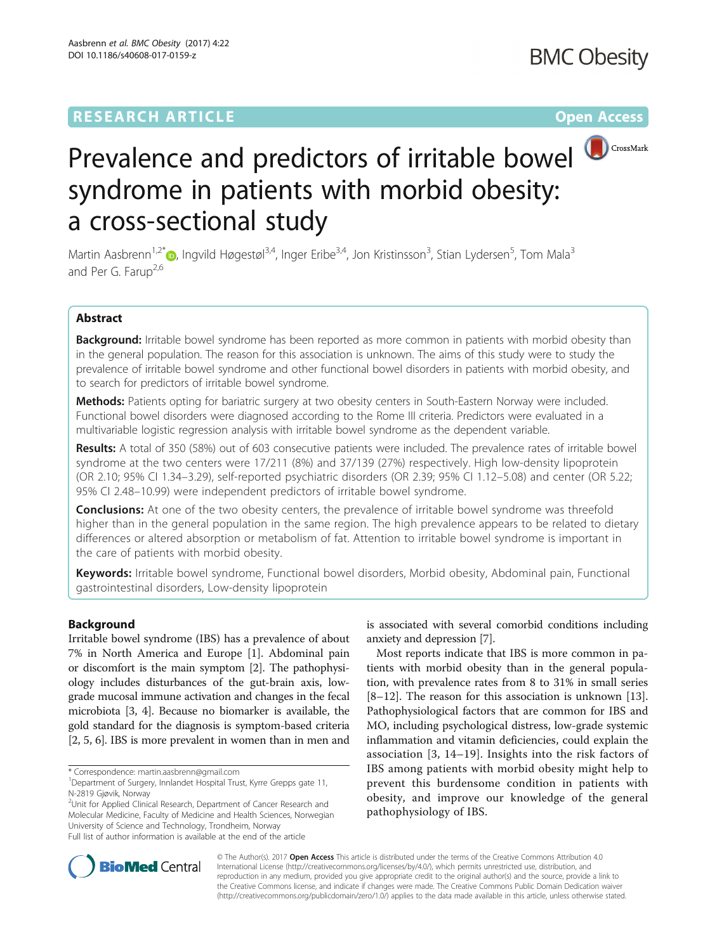# **RESEARCH ARTICLE External Structure Community Community Community Community Community Community Community Community**



# Prevalence and predictors of irritable bowel syndrome in patients with morbid obesity: a cross-sectional study

Martin Aasbrenn<sup>1[,](http://orcid.org/0000-0003-3637-5763)2\*</sup> (@, Ingvild Høgestøl<sup>3,4</sup>, Inger Eribe<sup>3,4</sup>, Jon Kristinsson<sup>3</sup>, Stian Lydersen<sup>5</sup>, Tom Mala<sup>3</sup> and Per G. Farup<sup>2,6</sup>

# Abstract

Background: Irritable bowel syndrome has been reported as more common in patients with morbid obesity than in the general population. The reason for this association is unknown. The aims of this study were to study the prevalence of irritable bowel syndrome and other functional bowel disorders in patients with morbid obesity, and to search for predictors of irritable bowel syndrome.

Methods: Patients opting for bariatric surgery at two obesity centers in South-Eastern Norway were included. Functional bowel disorders were diagnosed according to the Rome III criteria. Predictors were evaluated in a multivariable logistic regression analysis with irritable bowel syndrome as the dependent variable.

Results: A total of 350 (58%) out of 603 consecutive patients were included. The prevalence rates of irritable bowel syndrome at the two centers were 17/211 (8%) and 37/139 (27%) respectively. High low-density lipoprotein (OR 2.10; 95% CI 1.34–3.29), self-reported psychiatric disorders (OR 2.39; 95% CI 1.12–5.08) and center (OR 5.22; 95% CI 2.48–10.99) were independent predictors of irritable bowel syndrome.

**Conclusions:** At one of the two obesity centers, the prevalence of irritable bowel syndrome was threefold higher than in the general population in the same region. The high prevalence appears to be related to dietary differences or altered absorption or metabolism of fat. Attention to irritable bowel syndrome is important in the care of patients with morbid obesity.

Keywords: Irritable bowel syndrome, Functional bowel disorders, Morbid obesity, Abdominal pain, Functional gastrointestinal disorders, Low-density lipoprotein

# Background

Irritable bowel syndrome (IBS) has a prevalence of about 7% in North America and Europe [[1\]](#page-7-0). Abdominal pain or discomfort is the main symptom [\[2](#page-7-0)]. The pathophysiology includes disturbances of the gut-brain axis, lowgrade mucosal immune activation and changes in the fecal microbiota [\[3, 4\]](#page-7-0). Because no biomarker is available, the gold standard for the diagnosis is symptom-based criteria [[2, 5](#page-7-0), [6\]](#page-7-0). IBS is more prevalent in women than in men and

<sup>2</sup> Unit for Applied Clinical Research, Department of Cancer Research and Molecular Medicine, Faculty of Medicine and Health Sciences, Norwegian University of Science and Technology, Trondheim, Norway Full list of author information is available at the end of the article

is associated with several comorbid conditions including anxiety and depression [\[7](#page-7-0)].

Most reports indicate that IBS is more common in patients with morbid obesity than in the general population, with prevalence rates from 8 to 31% in small series [[8](#page-7-0)–[12\]](#page-7-0). The reason for this association is unknown [\[13](#page-7-0)]. Pathophysiological factors that are common for IBS and MO, including psychological distress, low-grade systemic inflammation and vitamin deficiencies, could explain the association [\[3](#page-7-0), [14](#page-7-0)–[19\]](#page-7-0). Insights into the risk factors of IBS among patients with morbid obesity might help to prevent this burdensome condition in patients with obesity, and improve our knowledge of the general pathophysiology of IBS.



© The Author(s). 2017 **Open Access** This article is distributed under the terms of the Creative Commons Attribution 4.0 International License [\(http://creativecommons.org/licenses/by/4.0/](http://creativecommons.org/licenses/by/4.0/)), which permits unrestricted use, distribution, and reproduction in any medium, provided you give appropriate credit to the original author(s) and the source, provide a link to the Creative Commons license, and indicate if changes were made. The Creative Commons Public Domain Dedication waiver [\(http://creativecommons.org/publicdomain/zero/1.0/](http://creativecommons.org/publicdomain/zero/1.0/)) applies to the data made available in this article, unless otherwise stated.

<sup>\*</sup> Correspondence: [martin.aasbrenn@gmail.com](mailto:martin.aasbrenn@gmail.com) <sup>1</sup>

<sup>&</sup>lt;sup>1</sup>Department of Surgery, Innlandet Hospital Trust, Kyrre Grepps gate 11, N-2819 Gjøvik, Norway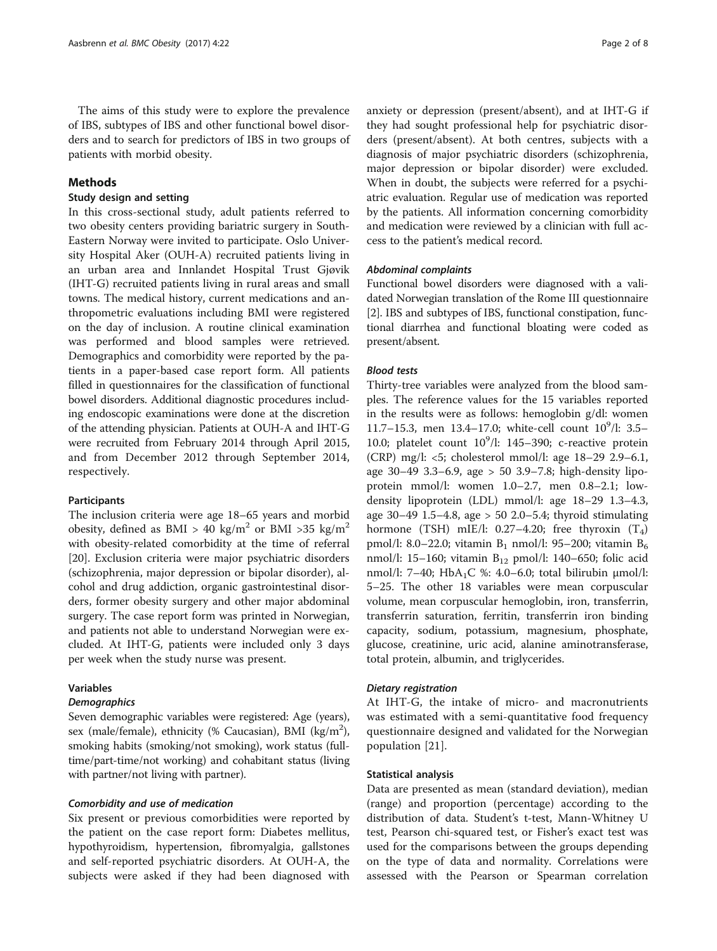The aims of this study were to explore the prevalence of IBS, subtypes of IBS and other functional bowel disorders and to search for predictors of IBS in two groups of patients with morbid obesity.

# Methods

# Study design and setting

In this cross-sectional study, adult patients referred to two obesity centers providing bariatric surgery in South-Eastern Norway were invited to participate. Oslo University Hospital Aker (OUH-A) recruited patients living in an urban area and Innlandet Hospital Trust Gjøvik (IHT-G) recruited patients living in rural areas and small towns. The medical history, current medications and anthropometric evaluations including BMI were registered on the day of inclusion. A routine clinical examination was performed and blood samples were retrieved. Demographics and comorbidity were reported by the patients in a paper-based case report form. All patients filled in questionnaires for the classification of functional bowel disorders. Additional diagnostic procedures including endoscopic examinations were done at the discretion of the attending physician. Patients at OUH-A and IHT-G were recruited from February 2014 through April 2015, and from December 2012 through September 2014, respectively.

# **Participants**

The inclusion criteria were age 18–65 years and morbid obesity, defined as BMI > 40 kg/m<sup>2</sup> or BMI > 35 kg/m<sup>2</sup> with obesity-related comorbidity at the time of referral [[20\]](#page-7-0). Exclusion criteria were major psychiatric disorders (schizophrenia, major depression or bipolar disorder), alcohol and drug addiction, organic gastrointestinal disorders, former obesity surgery and other major abdominal surgery. The case report form was printed in Norwegian, and patients not able to understand Norwegian were excluded. At IHT-G, patients were included only 3 days per week when the study nurse was present.

# Variables

# **Demographics**

Seven demographic variables were registered: Age (years), sex (male/female), ethnicity (% Caucasian), BMI (kg/m<sup>2</sup>), smoking habits (smoking/not smoking), work status (fulltime/part-time/not working) and cohabitant status (living with partner/not living with partner).

### Comorbidity and use of medication

Six present or previous comorbidities were reported by the patient on the case report form: Diabetes mellitus, hypothyroidism, hypertension, fibromyalgia, gallstones and self-reported psychiatric disorders. At OUH-A, the subjects were asked if they had been diagnosed with anxiety or depression (present/absent), and at IHT-G if they had sought professional help for psychiatric disorders (present/absent). At both centres, subjects with a diagnosis of major psychiatric disorders (schizophrenia, major depression or bipolar disorder) were excluded. When in doubt, the subjects were referred for a psychiatric evaluation. Regular use of medication was reported by the patients. All information concerning comorbidity and medication were reviewed by a clinician with full access to the patient's medical record.

### Abdominal complaints

Functional bowel disorders were diagnosed with a validated Norwegian translation of the Rome III questionnaire [[2\]](#page-7-0). IBS and subtypes of IBS, functional constipation, functional diarrhea and functional bloating were coded as present/absent.

### Blood tests

Thirty-tree variables were analyzed from the blood samples. The reference values for the 15 variables reported in the results were as follows: hemoglobin g/dl: women 11.7-15.3, men 13.4-17.0; white-cell count  $10^{9}$ /l: 3.5-10.0; platelet count  $10^9$ /l: 145-390; c-reactive protein (CRP) mg/l: <5; cholesterol mmol/l: age 18–29 2.9–6.1, age 30–49 3.3–6.9, age > 50 3.9–7.8; high-density lipoprotein mmol/l: women 1.0–2.7, men 0.8–2.1; lowdensity lipoprotein (LDL) mmol/l: age 18–29 1.3–4.3, age 30–49 1.5–4.8, age > 50 2.0–5.4; thyroid stimulating hormone (TSH) mIE/l: 0.27–4.20; free thyroxin  $(T_4)$ pmol/l: 8.0–22.0; vitamin B<sub>1</sub> nmol/l: 95–200; vitamin B<sub>6</sub> nmol/l: 15–160; vitamin  $B_{12}$  pmol/l: 140–650; folic acid nmol/l: 7–40; HbA<sub>1</sub>C %: 4.0–6.0; total bilirubin  $\mu$ mol/l: 5–25. The other 18 variables were mean corpuscular volume, mean corpuscular hemoglobin, iron, transferrin, transferrin saturation, ferritin, transferrin iron binding capacity, sodium, potassium, magnesium, phosphate, glucose, creatinine, uric acid, alanine aminotransferase, total protein, albumin, and triglycerides.

## Dietary registration

At IHT-G, the intake of micro- and macronutrients was estimated with a semi-quantitative food frequency questionnaire designed and validated for the Norwegian population [[21](#page-7-0)].

#### Statistical analysis

Data are presented as mean (standard deviation), median (range) and proportion (percentage) according to the distribution of data. Student's t-test, Mann-Whitney U test, Pearson chi-squared test, or Fisher's exact test was used for the comparisons between the groups depending on the type of data and normality. Correlations were assessed with the Pearson or Spearman correlation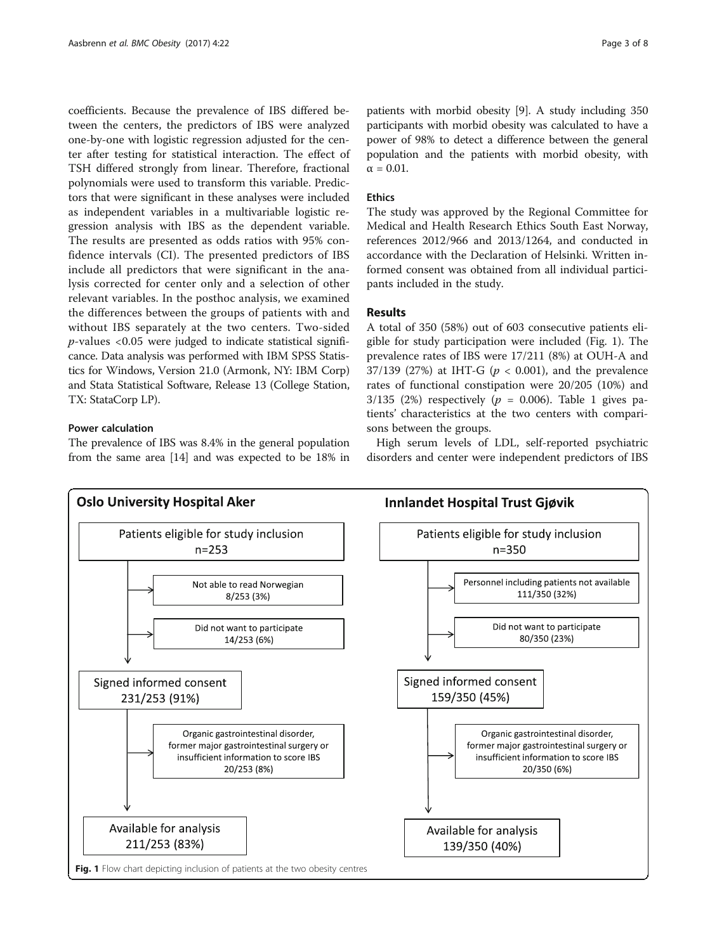coefficients. Because the prevalence of IBS differed between the centers, the predictors of IBS were analyzed one-by-one with logistic regression adjusted for the center after testing for statistical interaction. The effect of TSH differed strongly from linear. Therefore, fractional polynomials were used to transform this variable. Predictors that were significant in these analyses were included as independent variables in a multivariable logistic regression analysis with IBS as the dependent variable. The results are presented as odds ratios with 95% confidence intervals (CI). The presented predictors of IBS include all predictors that were significant in the analysis corrected for center only and a selection of other relevant variables. In the posthoc analysis, we examined the differences between the groups of patients with and without IBS separately at the two centers. Two-sided  $p$ -values <0.05 were judged to indicate statistical significance. Data analysis was performed with IBM SPSS Statistics for Windows, Version 21.0 (Armonk, NY: IBM Corp) and Stata Statistical Software, Release 13 (College Station, TX: StataCorp LP).

# Power calculation

The prevalence of IBS was 8.4% in the general population from the same area [\[14\]](#page-7-0) and was expected to be 18% in

patients with morbid obesity [\[9](#page-7-0)]. A study including 350 participants with morbid obesity was calculated to have a power of 98% to detect a difference between the general population and the patients with morbid obesity, with  $\alpha = 0.01$ .

# Ethics

The study was approved by the Regional Committee for Medical and Health Research Ethics South East Norway, references 2012/966 and 2013/1264, and conducted in accordance with the Declaration of Helsinki. Written informed consent was obtained from all individual participants included in the study.

# Results

A total of 350 (58%) out of 603 consecutive patients eligible for study participation were included (Fig. 1). The prevalence rates of IBS were 17/211 (8%) at OUH-A and 37/139 (27%) at IHT-G ( $p < 0.001$ ), and the prevalence rates of functional constipation were 20/205 (10%) and 3/135 (2%) respectively ( $p = 0.006$ ). Table [1](#page-3-0) gives patients' characteristics at the two centers with comparisons between the groups.

High serum levels of LDL, self-reported psychiatric disorders and center were independent predictors of IBS

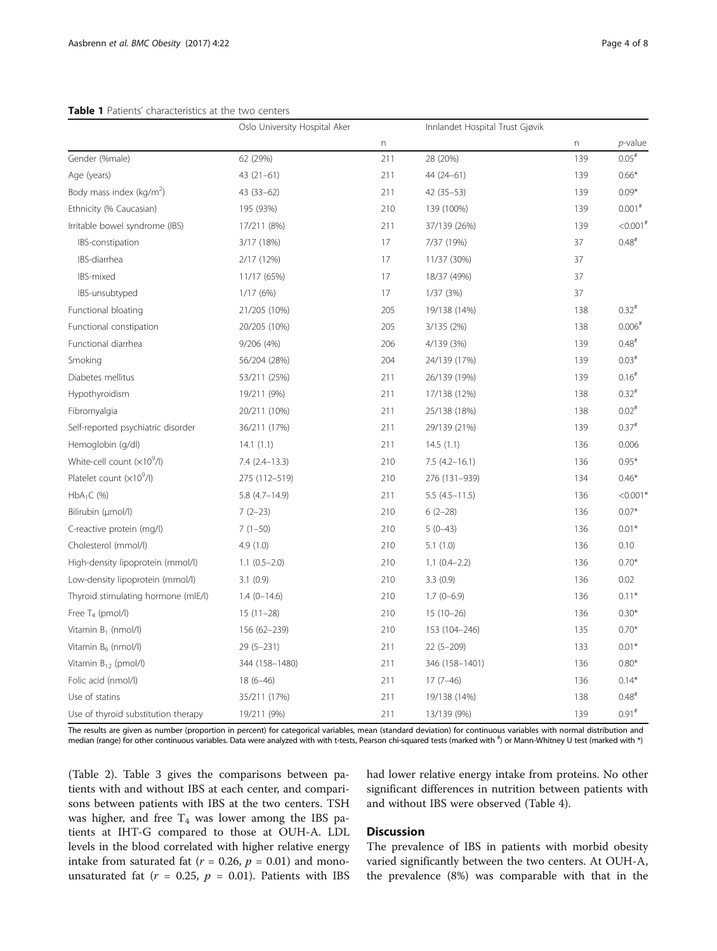#### <span id="page-3-0"></span>Table 1 Patients' characteristics at the two centers

|                                     | Oslo University Hospital Aker |              | Innlandet Hospital Trust Gjøvik |              |                        |
|-------------------------------------|-------------------------------|--------------|---------------------------------|--------------|------------------------|
|                                     |                               | $\mathsf{n}$ |                                 | $\mathsf{n}$ | <i>p</i> -value        |
| Gender (%male)                      | 62 (29%)                      | 211          | 28 (20%)                        | 139          | $0.05$ <sup>#</sup>    |
| Age (years)                         | 43 (21-61)                    | 211          | 44 (24-61)                      | 139          | $0.66*$                |
| Body mass index ( $kg/m2$ )         | 43 (33-62)                    | 211          | $42(35-53)$                     | 139          | $0.09*$                |
| Ethnicity (% Caucasian)             | 195 (93%)                     | 210          | 139 (100%)                      | 139          | $0.001$ <sup>#</sup>   |
| Irritable bowel syndrome (IBS)      | 17/211 (8%)                   | 211          | 37/139 (26%)                    | 139          | $< 0.001$ <sup>#</sup> |
| IBS-constipation                    | 3/17 (18%)                    | 17           | 7/37 (19%)                      | 37           | $0.48^{#}$             |
| IBS-diarrhea                        | 2/17 (12%)                    | 17           | 11/37 (30%)                     | 37           |                        |
| IBS-mixed                           | 11/17 (65%)                   | 17           | 18/37 (49%)                     | 37           |                        |
| IBS-unsubtyped                      | 1/17 (6%)                     | 17           | 1/37 (3%)                       | 37           |                        |
| Functional bloating                 | 21/205 (10%)                  | 205          | 19/138 (14%)                    | 138          | $0.32$ <sup>#</sup>    |
| Functional constipation             | 20/205 (10%)                  | 205          | 3/135 (2%)                      | 138          | $0.006$ <sup>#</sup>   |
| Functional diarrhea                 | 9/206(4%)                     | 206          | 4/139 (3%)                      | 139          | $0.48$ <sup>#</sup>    |
| Smoking                             | 56/204 (28%)                  | 204          | 24/139 (17%)                    | 139          | $0.03$ <sup>#</sup>    |
| Diabetes mellitus                   | 53/211 (25%)                  | 211          | 26/139 (19%)                    | 139          | $0.16$ <sup>#</sup>    |
| Hypothyroidism                      | 19/211 (9%)                   | 211          | 17/138 (12%)                    | 138          | $0.32$ <sup>#</sup>    |
| Fibromyalgia                        | 20/211 (10%)                  | 211          | 25/138 (18%)                    | 138          | $0.02$ <sup>#</sup>    |
| Self-reported psychiatric disorder  | 36/211 (17%)                  | 211          | 29/139 (21%)                    | 139          | $0.37$ <sup>#</sup>    |
| Hemoglobin (g/dl)                   | 14.1(1.1)                     | 211          | 14.5(1.1)                       | 136          | 0.006                  |
| White-cell count $(x10^9/l)$        | $7.4(2.4-13.3)$               | 210          | $7.5(4.2 - 16.1)$               | 136          | $0.95*$                |
| Platelet count $(x10^9/l)$          | 275 (112-519)                 | 210          | 276 (131-939)                   | 134          | $0.46*$                |
| $HbA_1C$ (%)                        | $5.8(4.7-14.9)$               | 211          | $5.5(4.5 - 11.5)$               | 136          | $< 0.001*$             |
| Bilirubin (umol/l)                  | $7(2-23)$                     | 210          | $6(2-28)$                       | 136          | $0.07*$                |
| C-reactive protein (mg/l)           | $7(1-50)$                     | 210          | $5(0-43)$                       | 136          | $0.01*$                |
| Cholesterol (mmol/l)                | 4.9(1.0)                      | 210          | 5.1(1.0)                        | 136          | 0.10                   |
| High-density lipoprotein (mmol/l)   | $1.1(0.5-2.0)$                | 210          | $1.1(0.4-2.2)$                  | 136          | $0.70*$                |
| Low-density lipoprotein (mmol/l)    | 3.1(0.9)                      | 210          | 3.3(0.9)                        | 136          | 0.02                   |
| Thyroid stimulating hormone (mIE/l) | $1.4(0-14.6)$                 | 210          | $1.7(0-6.9)$                    | 136          | $0.11*$                |
| Free $T_4$ (pmol/l)                 | $15(11-28)$                   | 210          | $15(10-26)$                     | 136          | $0.30*$                |
| Vitamin $B_1$ (nmol/l)              | 156 (62-239)                  | 210          | 153 (104-246)                   | 135          | $0.70*$                |
| Vitamin B <sub>6</sub> (nmol/l)     | $29(5 - 231)$                 | 211          | $22(5-209)$                     | 133          | $0.01*$                |
| Vitamin $B_{12}$ (pmol/l)           | 344 (158-1480)                | 211          | 346 (158-1401)                  | 136          | $0.80*$                |
| Folic acid (nmol/l)                 | $18(6-46)$                    | 211          | $17(7-46)$                      | 136          | $0.14*$                |
| Use of statins                      | 35/211 (17%)                  | 211          | 19/138 (14%)                    | 138          | $0.48$ <sup>#</sup>    |
| Use of thyroid substitution therapy | 19/211 (9%)                   | 211          | 13/139 (9%)                     | 139          | $0.91$ <sup>#</sup>    |

The results are given as number (proportion in percent) for categorical variables, mean (standard deviation) for continuous variables with normal distribution and median (range) for other continuous variables. Data were analyzed with with t-tests, Pearson chi-squared tests (marked with \*) or Mann-Whitney U test (marked with \*)

(Table [2\)](#page-4-0). Table [3](#page-5-0) gives the comparisons between patients with and without IBS at each center, and comparisons between patients with IBS at the two centers. TSH was higher, and free  $T_4$  was lower among the IBS patients at IHT-G compared to those at OUH-A. LDL levels in the blood correlated with higher relative energy intake from saturated fat ( $r = 0.26$ ,  $p = 0.01$ ) and monounsaturated fat ( $r = 0.25$ ,  $p = 0.01$ ). Patients with IBS had lower relative energy intake from proteins. No other significant differences in nutrition between patients with and without IBS were observed (Table [4](#page-5-0)).

# **Discussion**

The prevalence of IBS in patients with morbid obesity varied significantly between the two centers. At OUH-A, the prevalence (8%) was comparable with that in the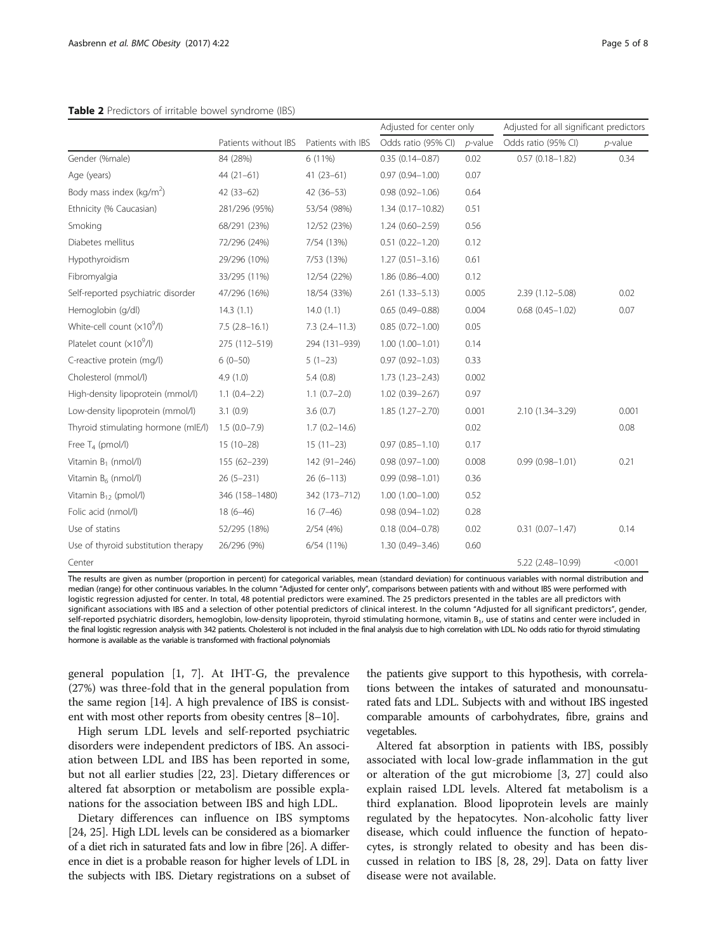#### <span id="page-4-0"></span>Table 2 Predictors of irritable bowel syndrome (IBS)

|                                      |                      |                      | Adjusted for center only |            | Adjusted for all significant predictors |            |
|--------------------------------------|----------------------|----------------------|--------------------------|------------|-----------------------------------------|------------|
|                                      | Patients without IBS | Patients with IBS    | Odds ratio (95% CI)      | $p$ -value | Odds ratio (95% CI)                     | $p$ -value |
| Gender (%male)                       | 84 (28%)             | 6 (11%)              | $0.35(0.14 - 0.87)$      | 0.02       | $0.57(0.18 - 1.82)$                     | 0.34       |
| Age (years)                          | $44(21-61)$          | $41(23-61)$          | $0.97(0.94 - 1.00)$      | 0.07       |                                         |            |
| Body mass index ( $kg/m2$ )          | $42(33-62)$          | $42(36-53)$          | $0.98(0.92 - 1.06)$      | 0.64       |                                         |            |
| Ethnicity (% Caucasian)              | 281/296 (95%)        | 53/54 (98%)          | $1.34(0.17 - 10.82)$     | 0.51       |                                         |            |
| Smoking                              | 68/291 (23%)         | 12/52 (23%)          | $1.24(0.60 - 2.59)$      | 0.56       |                                         |            |
| Diabetes mellitus                    | 72/296 (24%)         | 7/54 (13%)           | $0.51(0.22 - 1.20)$      | 0.12       |                                         |            |
| Hypothyroidism                       | 29/296 (10%)         | 7/53 (13%)           | $1.27(0.51 - 3.16)$      | 0.61       |                                         |            |
| Fibromyalgia                         | 33/295 (11%)         | 12/54 (22%)          | 1.86 (0.86-4.00)         | 0.12       |                                         |            |
| Self-reported psychiatric disorder   | 47/296 (16%)         | 18/54 (33%)          | $2.61(1.33 - 5.13)$      | 0.005      | 2.39 (1.12-5.08)                        | 0.02       |
| Hemoglobin (g/dl)                    | 14.3(1.1)            | 14.0(1.1)            | $0.65(0.49 - 0.88)$      | 0.004      | $0.68$ $(0.45 - 1.02)$                  | 0.07       |
| White-cell count $(x10^9/l)$         | $7.5(2.8-16.1)$      | $7.3$ $(2.4 - 11.3)$ | $0.85(0.72 - 1.00)$      | 0.05       |                                         |            |
| Platelet count (x10 <sup>9</sup> /l) | 275 (112-519)        | 294 (131-939)        | $1.00(1.00 - 1.01)$      | 0.14       |                                         |            |
| C-reactive protein (mg/l)            | $6(0-50)$            | $5(1-23)$            | $0.97(0.92 - 1.03)$      | 0.33       |                                         |            |
| Cholesterol (mmol/l)                 | 4.9(1.0)             | 5.4(0.8)             | $1.73(1.23 - 2.43)$      | 0.002      |                                         |            |
| High-density lipoprotein (mmol/l)    | $1.1(0.4-2.2)$       | $1.1(0.7-2.0)$       | $1.02(0.39 - 2.67)$      | 0.97       |                                         |            |
| Low-density lipoprotein (mmol/l)     | 3.1(0.9)             | 3.6(0.7)             | $1.85(1.27 - 2.70)$      | 0.001      | 2.10 (1.34-3.29)                        | 0.001      |
| Thyroid stimulating hormone (mIE/l)  | $1.5(0.0 - 7.9)$     | $1.7(0.2 - 14.6)$    |                          | 0.02       |                                         | 0.08       |
| Free $T_4$ (pmol/l)                  | $15(10-28)$          | $15(11-23)$          | $0.97(0.85 - 1.10)$      | 0.17       |                                         |            |
| Vitamin B <sub>1</sub> (nmol/l)      | 155 (62-239)         | 142 (91-246)         | $0.98(0.97 - 1.00)$      | 0.008      | $0.99(0.98 - 1.01)$                     | 0.21       |
| Vitamin B <sub>6</sub> (nmol/l)      | $26(5-231)$          | $26(6 - 113)$        | $0.99(0.98 - 1.01)$      | 0.36       |                                         |            |
| Vitamin $B_{12}$ (pmol/l)            | 346 (158-1480)       | 342 (173-712)        | $1.00(1.00 - 1.00)$      | 0.52       |                                         |            |
| Folic acid (nmol/l)                  | $18(6 - 46)$         | $16(7-46)$           | $0.98(0.94 - 1.02)$      | 0.28       |                                         |            |
| Use of statins                       | 52/295 (18%)         | 2/54(4%)             | $0.18(0.04 - 0.78)$      | 0.02       | $0.31(0.07 - 1.47)$                     | 0.14       |
| Use of thyroid substitution therapy  | 26/296 (9%)          | 6/54(11%)            | 1.30 (0.49-3.46)         | 0.60       |                                         |            |
| Center                               |                      |                      |                          |            | 5.22 (2.48-10.99)                       | < 0.001    |

The results are given as number (proportion in percent) for categorical variables, mean (standard deviation) for continuous variables with normal distribution and median (range) for other continuous variables. In the column "Adjusted for center only", comparisons between patients with and without IBS were performed with logistic regression adjusted for center. In total, 48 potential predictors were examined. The 25 predictors presented in the tables are all predictors with significant associations with IBS and a selection of other potential predictors of clinical interest. In the column "Adjusted for all significant predictors", gender, self-reported psychiatric disorders, hemoglobin, low-density lipoprotein, thyroid stimulating hormone, vitamin B<sub>1</sub>, use of statins and center were included in the final logistic regression analysis with 342 patients. Cholesterol is not included in the final analysis due to high correlation with LDL. No odds ratio for thyroid stimulating hormone is available as the variable is transformed with fractional polynomials

general population [[1, 7](#page-7-0)]. At IHT-G, the prevalence (27%) was three-fold that in the general population from the same region [[14](#page-7-0)]. A high prevalence of IBS is consistent with most other reports from obesity centres [\[8](#page-7-0)–[10\]](#page-7-0).

High serum LDL levels and self-reported psychiatric disorders were independent predictors of IBS. An association between LDL and IBS has been reported in some, but not all earlier studies [\[22](#page-7-0), [23\]](#page-7-0). Dietary differences or altered fat absorption or metabolism are possible explanations for the association between IBS and high LDL.

Dietary differences can influence on IBS symptoms [[24, 25\]](#page-7-0). High LDL levels can be considered as a biomarker of a diet rich in saturated fats and low in fibre [\[26\]](#page-7-0). A difference in diet is a probable reason for higher levels of LDL in the subjects with IBS. Dietary registrations on a subset of the patients give support to this hypothesis, with correlations between the intakes of saturated and monounsaturated fats and LDL. Subjects with and without IBS ingested comparable amounts of carbohydrates, fibre, grains and vegetables.

Altered fat absorption in patients with IBS, possibly associated with local low-grade inflammation in the gut or alteration of the gut microbiome [\[3](#page-7-0), [27\]](#page-7-0) could also explain raised LDL levels. Altered fat metabolism is a third explanation. Blood lipoprotein levels are mainly regulated by the hepatocytes. Non-alcoholic fatty liver disease, which could influence the function of hepatocytes, is strongly related to obesity and has been discussed in relation to IBS [[8, 28, 29](#page-7-0)]. Data on fatty liver disease were not available.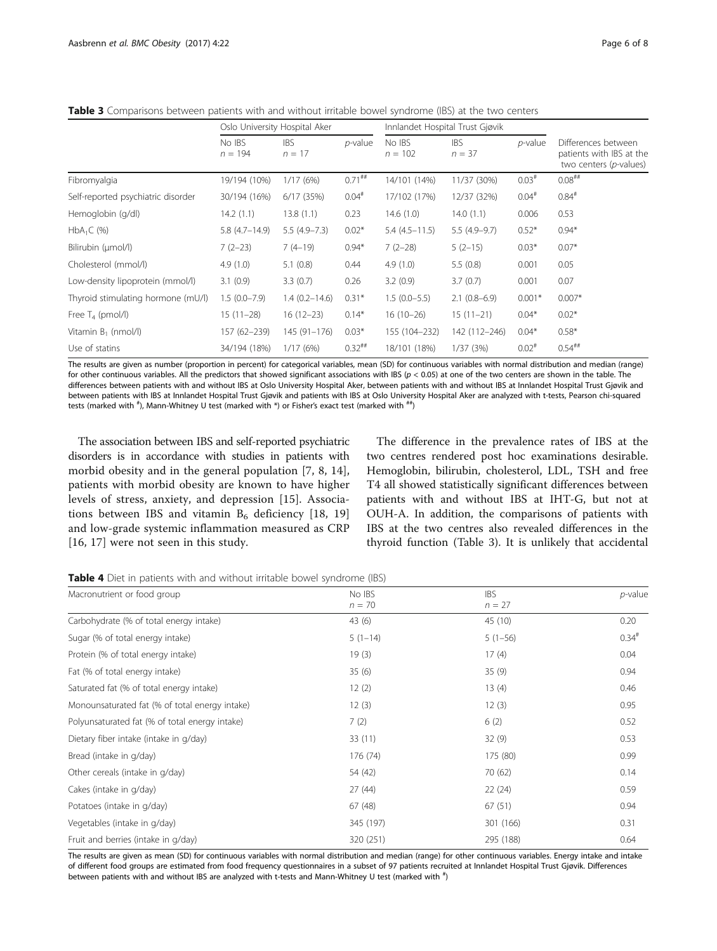<span id="page-5-0"></span>Table 3 Comparisons between patients with and without irritable bowel syndrome (IBS) at the two centers

|                                    | Oslo University Hospital Aker |                        |                      | Innlandet Hospital Trust Gjøvik |                        |                     |                                                                           |  |
|------------------------------------|-------------------------------|------------------------|----------------------|---------------------------------|------------------------|---------------------|---------------------------------------------------------------------------|--|
|                                    | No IBS<br>$n = 194$           | <b>IBS</b><br>$n = 17$ | $p$ -value           | No IBS<br>$n = 102$             | <b>IBS</b><br>$n = 37$ | $p$ -value          | Differences between<br>patients with IBS at the<br>two centers (p-values) |  |
| Fibromyalgia                       | 19/194 (10%)                  | 1/17(6%)               | $0.71$ <sup>##</sup> | 14/101 (14%)                    | 11/37 (30%)            | $0.03$ <sup>#</sup> | $0.08^{#}$                                                                |  |
| Self-reported psychiatric disorder | 30/194 (16%)                  | 6/17(35%)              | $0.04$ <sup>#</sup>  | 17/102 (17%)                    | 12/37 (32%)            | $0.04$ <sup>#</sup> | $0.84$ <sup>#</sup>                                                       |  |
| Hemoglobin (g/dl)                  | 14.2(1.1)                     | 13.8(1.1)              | 0.23                 | 14.6(1.0)                       | 14.0(1.1)              | 0.006               | 0.53                                                                      |  |
| $HbA_1C$ (%)                       | $5.8(4.7-14.9)$               | $5.5(4.9 - 7.3)$       | $0.02*$              | $5.4(4.5-11.5)$                 | $5.5(4.9-9.7)$         | $0.52*$             | $0.94*$                                                                   |  |
| Bilirubin (umol/l)                 | $7(2-23)$                     | $7(4-19)$              | $0.94*$              | $7(2-28)$                       | $5(2-15)$              | $0.03*$             | $0.07*$                                                                   |  |
| Cholesterol (mmol/l)               | 4.9(1.0)                      | 5.1(0.8)               | 0.44                 | 4.9(1.0)                        | 5.5(0.8)               | 0.001               | 0.05                                                                      |  |
| Low-density lipoprotein (mmol/l)   | 3.1(0.9)                      | 3.3(0.7)               | 0.26                 | 3.2(0.9)                        | 3.7(0.7)               | 0.001               | 0.07                                                                      |  |
| Thyroid stimulating hormone (mU/l) | $1.5(0.0 - 7.9)$              | $1.4(0.2 - 14.6)$      | $0.31*$              | $1.5(0.0-5.5)$                  | $2.1(0.8-6.9)$         | $0.001*$            | $0.007*$                                                                  |  |
| Free $T_4$ (pmol/l)                | $15(11-28)$                   | $16(12-23)$            | $0.14*$              | $16(10-26)$                     | $15(11-21)$            | $0.04*$             | $0.02*$                                                                   |  |
| Vitamin $B_1$ (nmol/l)             | 157 (62-239)                  | 145 (91-176)           | $0.03*$              | 155 (104-232)                   | 142 (112-246)          | $0.04*$             | $0.58*$                                                                   |  |
| Use of statins                     | 34/194 (18%)                  | 1/17(6%)               | $0.32$ <sup>##</sup> | 18/101 (18%)                    | 1/37(3%)               | $0.02$ <sup>#</sup> | $0.54$ <sup>##</sup>                                                      |  |

The results are given as number (proportion in percent) for categorical variables, mean (SD) for continuous variables with normal distribution and median (range) for other continuous variables. All the predictors that showed significant associations with IBS ( $p < 0.05$ ) at one of the two centers are shown in the table. The differences between patients with and without IBS at Oslo University Hospital Aker, between patients with and without IBS at Innlandet Hospital Trust Gjøvik and between patients with IBS at Innlandet Hospital Trust Gjøvik and patients with IBS at Oslo University Hospital Aker are analyzed with t-tests, Pearson chi-squared tests (marked with <sup>#</sup>), Mann-Whitney U test (marked with \*) or Fisher's exact test (marked with <sup>##</sup>)

The association between IBS and self-reported psychiatric disorders is in accordance with studies in patients with morbid obesity and in the general population [[7](#page-7-0), [8, 14](#page-7-0)], patients with morbid obesity are known to have higher levels of stress, anxiety, and depression [\[15](#page-7-0)]. Associations between IBS and vitamin  $B_6$  deficiency [\[18](#page-7-0), [19](#page-7-0)] and low-grade systemic inflammation measured as CRP [[16, 17](#page-7-0)] were not seen in this study.

The difference in the prevalence rates of IBS at the two centres rendered post hoc examinations desirable. Hemoglobin, bilirubin, cholesterol, LDL, TSH and free T4 all showed statistically significant differences between patients with and without IBS at IHT-G, but not at OUH-A. In addition, the comparisons of patients with IBS at the two centres also revealed differences in the thyroid function (Table 3). It is unlikely that accidental

Table 4 Diet in patients with and without irritable bowel syndrome (IBS)

| Macronutrient or food group                    | No IBS    | <b>IBS</b> | $p$ -value          |
|------------------------------------------------|-----------|------------|---------------------|
|                                                | $n = 70$  | $n = 27$   |                     |
| Carbohydrate (% of total energy intake)        | 43 (6)    | 45 (10)    | 0.20                |
| Sugar (% of total energy intake)               | $5(1-14)$ | $5(1-56)$  | $0.34$ <sup>#</sup> |
| Protein (% of total energy intake)             | 19(3)     | 17(4)      | 0.04                |
| Fat (% of total energy intake)                 | 35(6)     | 35(9)      | 0.94                |
| Saturated fat (% of total energy intake)       | 12(2)     | 13(4)      | 0.46                |
| Monounsaturated fat (% of total energy intake) | 12(3)     | 12(3)      | 0.95                |
| Polyunsaturated fat (% of total energy intake) | 7(2)      | 6(2)       | 0.52                |
| Dietary fiber intake (intake in g/day)         | 33 (11)   | 32(9)      | 0.53                |
| Bread (intake in g/day)                        | 176 (74)  | 175 (80)   | 0.99                |
| Other cereals (intake in g/day)                | 54 (42)   | 70 (62)    | 0.14                |
| Cakes (intake in g/day)                        | 27(44)    | 22(24)     | 0.59                |
| Potatoes (intake in g/day)                     | 67(48)    | 67(51)     | 0.94                |
| Vegetables (intake in g/day)                   | 345 (197) | 301 (166)  | 0.31                |
| Fruit and berries (intake in g/day)            | 320 (251) | 295 (188)  | 0.64                |

The results are given as mean (SD) for continuous variables with normal distribution and median (range) for other continuous variables. Energy intake and intake of different food groups are estimated from food frequency questionnaires in a subset of 97 patients recruited at Innlandet Hospital Trust Gjøvik. Differences between patients with and without IBS are analyzed with t-tests and Mann-Whitney U test (marked with <sup>#</sup>)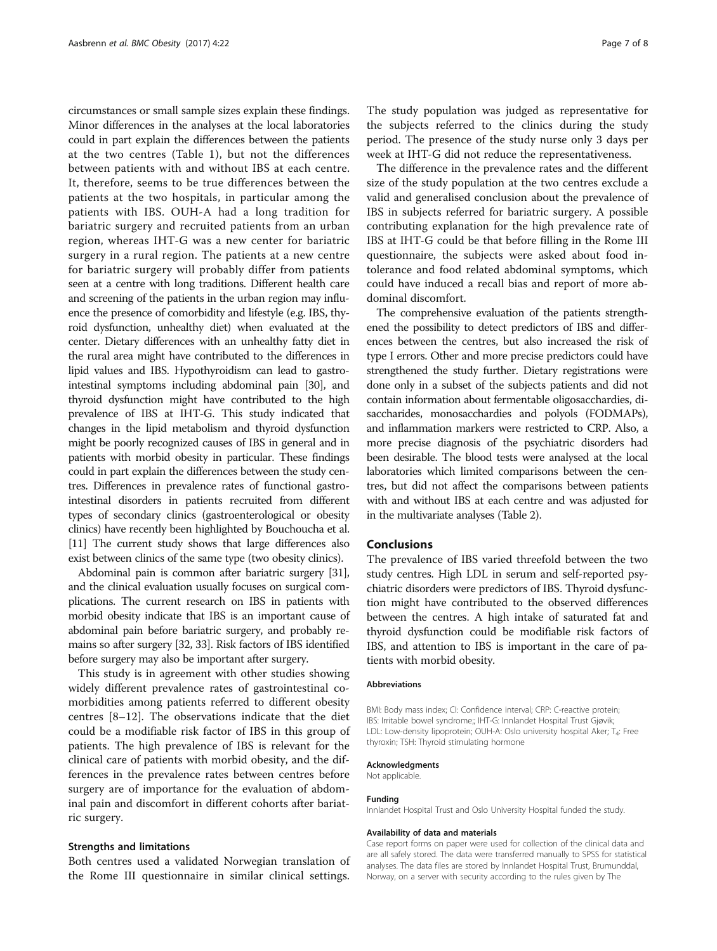circumstances or small sample sizes explain these findings. Minor differences in the analyses at the local laboratories could in part explain the differences between the patients at the two centres (Table [1\)](#page-3-0), but not the differences between patients with and without IBS at each centre. It, therefore, seems to be true differences between the patients at the two hospitals, in particular among the patients with IBS. OUH-A had a long tradition for bariatric surgery and recruited patients from an urban region, whereas IHT-G was a new center for bariatric surgery in a rural region. The patients at a new centre for bariatric surgery will probably differ from patients seen at a centre with long traditions. Different health care and screening of the patients in the urban region may influence the presence of comorbidity and lifestyle (e.g. IBS, thyroid dysfunction, unhealthy diet) when evaluated at the center. Dietary differences with an unhealthy fatty diet in the rural area might have contributed to the differences in lipid values and IBS. Hypothyroidism can lead to gastrointestinal symptoms including abdominal pain [\[30\]](#page-7-0), and thyroid dysfunction might have contributed to the high prevalence of IBS at IHT-G. This study indicated that changes in the lipid metabolism and thyroid dysfunction might be poorly recognized causes of IBS in general and in patients with morbid obesity in particular. These findings could in part explain the differences between the study centres. Differences in prevalence rates of functional gastrointestinal disorders in patients recruited from different types of secondary clinics (gastroenterological or obesity clinics) have recently been highlighted by Bouchoucha et al. [[11](#page-7-0)] The current study shows that large differences also exist between clinics of the same type (two obesity clinics).

Abdominal pain is common after bariatric surgery [\[31](#page-7-0)], and the clinical evaluation usually focuses on surgical complications. The current research on IBS in patients with morbid obesity indicate that IBS is an important cause of abdominal pain before bariatric surgery, and probably remains so after surgery [\[32, 33\]](#page-7-0). Risk factors of IBS identified before surgery may also be important after surgery.

This study is in agreement with other studies showing widely different prevalence rates of gastrointestinal comorbidities among patients referred to different obesity centres [[8](#page-7-0)–[12](#page-7-0)]. The observations indicate that the diet could be a modifiable risk factor of IBS in this group of patients. The high prevalence of IBS is relevant for the clinical care of patients with morbid obesity, and the differences in the prevalence rates between centres before surgery are of importance for the evaluation of abdominal pain and discomfort in different cohorts after bariatric surgery.

#### Strengths and limitations

Both centres used a validated Norwegian translation of the Rome III questionnaire in similar clinical settings.

The study population was judged as representative for the subjects referred to the clinics during the study period. The presence of the study nurse only 3 days per week at IHT-G did not reduce the representativeness.

The difference in the prevalence rates and the different size of the study population at the two centres exclude a valid and generalised conclusion about the prevalence of IBS in subjects referred for bariatric surgery. A possible contributing explanation for the high prevalence rate of IBS at IHT-G could be that before filling in the Rome III questionnaire, the subjects were asked about food intolerance and food related abdominal symptoms, which could have induced a recall bias and report of more abdominal discomfort.

The comprehensive evaluation of the patients strengthened the possibility to detect predictors of IBS and differences between the centres, but also increased the risk of type I errors. Other and more precise predictors could have strengthened the study further. Dietary registrations were done only in a subset of the subjects patients and did not contain information about fermentable oligosacchardies, disaccharides, monosacchardies and polyols (FODMAPs), and inflammation markers were restricted to CRP. Also, a more precise diagnosis of the psychiatric disorders had been desirable. The blood tests were analysed at the local laboratories which limited comparisons between the centres, but did not affect the comparisons between patients with and without IBS at each centre and was adjusted for in the multivariate analyses (Table [2\)](#page-4-0).

### Conclusions

The prevalence of IBS varied threefold between the two study centres. High LDL in serum and self-reported psychiatric disorders were predictors of IBS. Thyroid dysfunction might have contributed to the observed differences between the centres. A high intake of saturated fat and thyroid dysfunction could be modifiable risk factors of IBS, and attention to IBS is important in the care of patients with morbid obesity.

#### Abbreviations

BMI: Body mass index; CI: Confidence interval; CRP: C-reactive protein; IBS: Irritable bowel syndrome;; IHT-G: Innlandet Hospital Trust Gjøvik; LDL: Low-density lipoprotein; OUH-A: Oslo university hospital Aker; T4: Free thyroxin; TSH: Thyroid stimulating hormone

#### Acknowledgments

Not applicable.

#### Funding

Innlandet Hospital Trust and Oslo University Hospital funded the study.

#### Availability of data and materials

Case report forms on paper were used for collection of the clinical data and are all safely stored. The data were transferred manually to SPSS for statistical analyses. The data files are stored by Innlandet Hospital Trust, Brumunddal, Norway, on a server with security according to the rules given by The